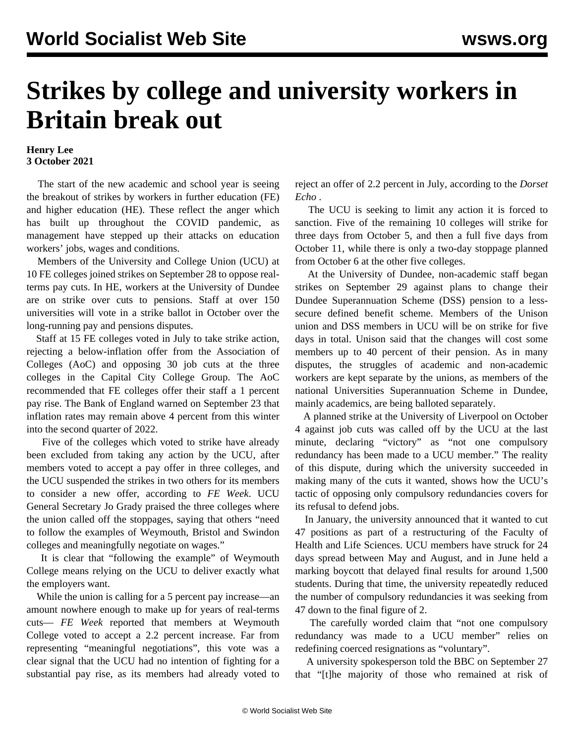## **Strikes by college and university workers in Britain break out**

## **Henry Lee 3 October 2021**

 The start of the new academic and school year is seeing the breakout of strikes by workers in further education (FE) and higher education (HE). These reflect the anger which has built up throughout the COVID pandemic, as management have stepped up their attacks on education workers' jobs, wages and conditions.

 Members of the University and College Union (UCU) at 10 FE colleges joined strikes on September 28 to oppose realterms pay cuts. In HE, workers at the University of Dundee are on strike over cuts to pensions. Staff at over 150 universities will vote in a strike ballot in October over the long-running pay and pensions disputes.

 Staff at 15 FE colleges voted in July to take strike action, rejecting a below-inflation offer from the Association of Colleges (AoC) and opposing 30 job cuts at the three colleges in the Capital City College Group. The AoC recommended that FE colleges offer their staff a 1 percent pay rise. The Bank of England warned on September 23 that inflation rates may remain above 4 percent from this winter into the second quarter of 2022.

 Five of the colleges which voted to strike have already been excluded from taking any action by the UCU, after members voted to accept a pay offer in three colleges, and the UCU suspended the strikes in two others for its members to consider a new offer, according to *FE Week*. UCU General Secretary Jo Grady praised the three colleges where the union called off the stoppages, saying that others "need to follow the examples of Weymouth, Bristol and Swindon colleges and meaningfully negotiate on wages."

 It is clear that "following the example" of Weymouth College means relying on the UCU to deliver exactly what the employers want.

 While the union is calling for a 5 percent pay increase—an amount nowhere enough to make up for years of real-terms cuts— *FE Week* reported that members at Weymouth College voted to accept a 2.2 percent increase. Far from representing "meaningful negotiations", this vote was a clear signal that the UCU had no intention of fighting for a substantial pay rise, as its members had already voted to

reject an offer of 2.2 percent in July, according to the *Dorset Echo* .

 The UCU is seeking to limit any action it is forced to sanction. Five of the remaining 10 colleges will strike for three days from October 5, and then a full five days from October 11, while there is only a two-day stoppage planned from October 6 at the other five colleges.

 At the University of Dundee, non-academic staff began strikes on September 29 against plans to change their Dundee Superannuation Scheme (DSS) pension to a lesssecure defined benefit scheme. Members of the Unison union and DSS members in UCU will be on strike for five days in total. Unison said that the changes will cost some members up to 40 percent of their pension. As in many disputes, the struggles of academic and non-academic workers are kept separate by the unions, as members of the national Universities Superannuation Scheme in Dundee, mainly academics, are being balloted separately.

 A planned strike at the University of Liverpool on October 4 against job cuts was called off by the UCU at the last minute, declaring "victory" as "not one compulsory redundancy has been made to a UCU member." The reality of this dispute, during which the university succeeded in making many of the cuts it wanted, shows how the UCU's tactic of opposing only compulsory redundancies covers for its refusal to defend jobs.

 In January, the university announced that it wanted to cut 47 positions as part of a restructuring of the Faculty of Health and Life Sciences. UCU members have struck for 24 days spread between May and August, and in June held a marking boycott that delayed final results for around 1,500 students. During that time, the university repeatedly reduced the number of compulsory redundancies it was seeking from 47 down to the final figure of 2.

 The carefully worded claim that "not one compulsory redundancy was made to a UCU member" relies on redefining coerced resignations as "voluntary".

 A university spokesperson told the BBC on September 27 that "[t]he majority of those who remained at risk of